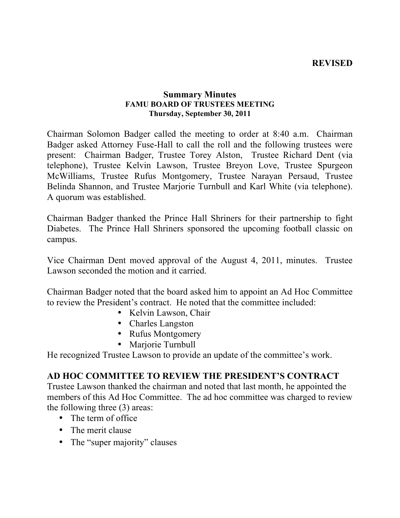#### **REVISED**

#### **Summary Minutes FAMU BOARD OF TRUSTEES MEETING Thursday, September 30, 2011**

Chairman Solomon Badger called the meeting to order at 8:40 a.m. Chairman Badger asked Attorney Fuse-Hall to call the roll and the following trustees were present: Chairman Badger, Trustee Torey Alston, Trustee Richard Dent (via telephone), Trustee Kelvin Lawson, Trustee Breyon Love, Trustee Spurgeon McWilliams, Trustee Rufus Montgomery, Trustee Narayan Persaud, Trustee Belinda Shannon, and Trustee Marjorie Turnbull and Karl White (via telephone). A quorum was established.

Chairman Badger thanked the Prince Hall Shriners for their partnership to fight Diabetes. The Prince Hall Shriners sponsored the upcoming football classic on campus.

Vice Chairman Dent moved approval of the August 4, 2011, minutes. Trustee Lawson seconded the motion and it carried.

Chairman Badger noted that the board asked him to appoint an Ad Hoc Committee to review the President's contract. He noted that the committee included:

- Kelvin Lawson, Chair
- Charles Langston
- Rufus Montgomery
- Marjorie Turnbull

He recognized Trustee Lawson to provide an update of the committee's work.

### **AD HOC COMMITTEE TO REVIEW THE PRESIDENT'S CONTRACT**

Trustee Lawson thanked the chairman and noted that last month, he appointed the members of this Ad Hoc Committee. The ad hoc committee was charged to review the following three (3) areas:

- The term of office
- The merit clause
- The "super majority" clauses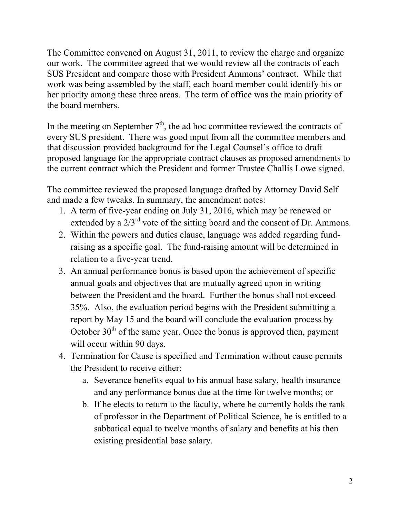The Committee convened on August 31, 2011, to review the charge and organize our work. The committee agreed that we would review all the contracts of each SUS President and compare those with President Ammons' contract. While that work was being assembled by the staff, each board member could identify his or her priority among these three areas. The term of office was the main priority of the board members.

In the meeting on September  $7<sup>th</sup>$ , the ad hoc committee reviewed the contracts of every SUS president. There was good input from all the committee members and that discussion provided background for the Legal Counsel's office to draft proposed language for the appropriate contract clauses as proposed amendments to the current contract which the President and former Trustee Challis Lowe signed.

The committee reviewed the proposed language drafted by Attorney David Self and made a few tweaks. In summary, the amendment notes:

- 1. A term of five-year ending on July 31, 2016, which may be renewed or extended by a  $2/3<sup>rd</sup>$  vote of the sitting board and the consent of Dr. Ammons.
- 2. Within the powers and duties clause, language was added regarding fundraising as a specific goal. The fund-raising amount will be determined in relation to a five-year trend.
- 3. An annual performance bonus is based upon the achievement of specific annual goals and objectives that are mutually agreed upon in writing between the President and the board. Further the bonus shall not exceed 35%. Also, the evaluation period begins with the President submitting a report by May 15 and the board will conclude the evaluation process by October  $30<sup>th</sup>$  of the same year. Once the bonus is approved then, payment will occur within 90 days.
- 4. Termination for Cause is specified and Termination without cause permits the President to receive either:
	- a. Severance benefits equal to his annual base salary, health insurance and any performance bonus due at the time for twelve months; or
	- b. If he elects to return to the faculty, where he currently holds the rank of professor in the Department of Political Science, he is entitled to a sabbatical equal to twelve months of salary and benefits at his then existing presidential base salary.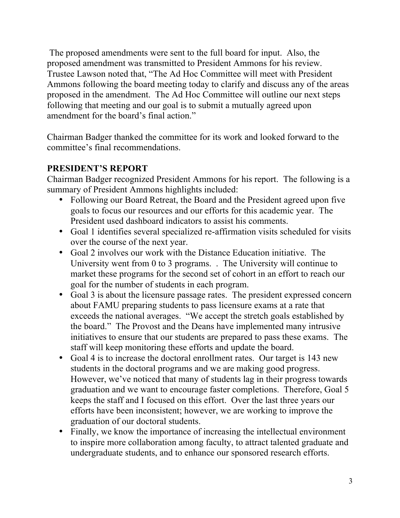The proposed amendments were sent to the full board for input. Also, the proposed amendment was transmitted to President Ammons for his review. Trustee Lawson noted that, "The Ad Hoc Committee will meet with President Ammons following the board meeting today to clarify and discuss any of the areas proposed in the amendment. The Ad Hoc Committee will outline our next steps following that meeting and our goal is to submit a mutually agreed upon amendment for the board's final action."

Chairman Badger thanked the committee for its work and looked forward to the committee's final recommendations.

# **PRESIDENT'S REPORT**

Chairman Badger recognized President Ammons for his report. The following is a summary of President Ammons highlights included:

- Following our Board Retreat, the Board and the President agreed upon five goals to focus our resources and our efforts for this academic year. The President used dashboard indicators to assist his comments.
- Goal 1 identifies several specialized re-affirmation visits scheduled for visits over the course of the next year.
- Goal 2 involves our work with the Distance Education initiative. The University went from 0 to 3 programs. . The University will continue to market these programs for the second set of cohort in an effort to reach our goal for the number of students in each program.
- Goal 3 is about the licensure passage rates. The president expressed concern about FAMU preparing students to pass licensure exams at a rate that exceeds the national averages. "We accept the stretch goals established by the board." The Provost and the Deans have implemented many intrusive initiatives to ensure that our students are prepared to pass these exams. The staff will keep monitoring these efforts and update the board.
- Goal 4 is to increase the doctoral enrollment rates. Our target is 143 new students in the doctoral programs and we are making good progress. However, we've noticed that many of students lag in their progress towards graduation and we want to encourage faster completions. Therefore, Goal 5 keeps the staff and I focused on this effort. Over the last three years our efforts have been inconsistent; however, we are working to improve the graduation of our doctoral students.
- Finally, we know the importance of increasing the intellectual environment to inspire more collaboration among faculty, to attract talented graduate and undergraduate students, and to enhance our sponsored research efforts.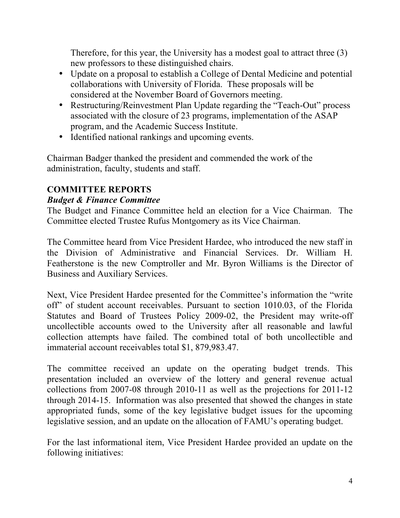Therefore, for this year, the University has a modest goal to attract three (3) new professors to these distinguished chairs.

- Update on a proposal to establish a College of Dental Medicine and potential collaborations with University of Florida. These proposals will be considered at the November Board of Governors meeting.
- Restructuring/Reinvestment Plan Update regarding the "Teach-Out" process associated with the closure of 23 programs, implementation of the ASAP program, and the Academic Success Institute.
- Identified national rankings and upcoming events.

Chairman Badger thanked the president and commended the work of the administration, faculty, students and staff.

# **COMMITTEE REPORTS**

# *Budget & Finance Committee*

The Budget and Finance Committee held an election for a Vice Chairman. The Committee elected Trustee Rufus Montgomery as its Vice Chairman.

The Committee heard from Vice President Hardee, who introduced the new staff in the Division of Administrative and Financial Services. Dr. William H. Featherstone is the new Comptroller and Mr. Byron Williams is the Director of Business and Auxiliary Services.

Next, Vice President Hardee presented for the Committee's information the "write off" of student account receivables. Pursuant to section 1010.03, of the Florida Statutes and Board of Trustees Policy 2009-02, the President may write-off uncollectible accounts owed to the University after all reasonable and lawful collection attempts have failed. The combined total of both uncollectible and immaterial account receivables total \$1, 879,983.47.

The committee received an update on the operating budget trends. This presentation included an overview of the lottery and general revenue actual collections from 2007-08 through 2010-11 as well as the projections for 2011-12 through 2014-15. Information was also presented that showed the changes in state appropriated funds, some of the key legislative budget issues for the upcoming legislative session, and an update on the allocation of FAMU's operating budget.

For the last informational item, Vice President Hardee provided an update on the following initiatives: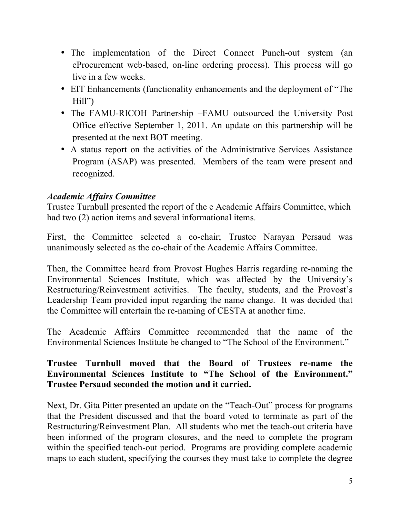- The implementation of the Direct Connect Punch-out system (an eProcurement web-based, on-line ordering process). This process will go live in a few weeks.
- EIT Enhancements (functionality enhancements and the deployment of "The Hill")
- The FAMU-RICOH Partnership –FAMU outsourced the University Post Office effective September 1, 2011. An update on this partnership will be presented at the next BOT meeting.
- A status report on the activities of the Administrative Services Assistance Program (ASAP) was presented. Members of the team were present and recognized.

### *Academic Affairs Committee*

Trustee Turnbull presented the report of the e Academic Affairs Committee, which had two (2) action items and several informational items.

First, the Committee selected a co-chair; Trustee Narayan Persaud was unanimously selected as the co-chair of the Academic Affairs Committee.

Then, the Committee heard from Provost Hughes Harris regarding re-naming the Environmental Sciences Institute, which was affected by the University's Restructuring/Reinvestment activities. The faculty, students, and the Provost's Leadership Team provided input regarding the name change. It was decided that the Committee will entertain the re-naming of CESTA at another time.

The Academic Affairs Committee recommended that the name of the Environmental Sciences Institute be changed to "The School of the Environment."

#### **Trustee Turnbull moved that the Board of Trustees re-name the Environmental Sciences Institute to "The School of the Environment." Trustee Persaud seconded the motion and it carried.**

Next, Dr. Gita Pitter presented an update on the "Teach-Out" process for programs that the President discussed and that the board voted to terminate as part of the Restructuring/Reinvestment Plan. All students who met the teach-out criteria have been informed of the program closures, and the need to complete the program within the specified teach-out period. Programs are providing complete academic maps to each student, specifying the courses they must take to complete the degree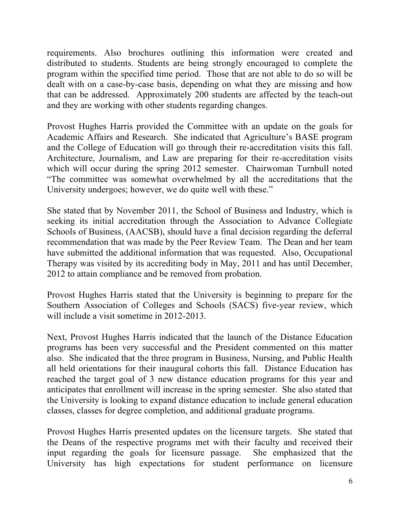requirements. Also brochures outlining this information were created and distributed to students. Students are being strongly encouraged to complete the program within the specified time period. Those that are not able to do so will be dealt with on a case-by-case basis, depending on what they are missing and how that can be addressed. Approximately 200 students are affected by the teach-out and they are working with other students regarding changes.

Provost Hughes Harris provided the Committee with an update on the goals for Academic Affairs and Research. She indicated that Agriculture's BASE program and the College of Education will go through their re-accreditation visits this fall. Architecture, Journalism, and Law are preparing for their re-accreditation visits which will occur during the spring 2012 semester. Chairwoman Turnbull noted "The committee was somewhat overwhelmed by all the accreditations that the University undergoes; however, we do quite well with these."

She stated that by November 2011, the School of Business and Industry, which is seeking its initial accreditation through the Association to Advance Collegiate Schools of Business, (AACSB), should have a final decision regarding the deferral recommendation that was made by the Peer Review Team. The Dean and her team have submitted the additional information that was requested. Also, Occupational Therapy was visited by its accrediting body in May, 2011 and has until December, 2012 to attain compliance and be removed from probation.

Provost Hughes Harris stated that the University is beginning to prepare for the Southern Association of Colleges and Schools (SACS) five-year review, which will include a visit sometime in 2012-2013.

Next, Provost Hughes Harris indicated that the launch of the Distance Education programs has been very successful and the President commented on this matter also. She indicated that the three program in Business, Nursing, and Public Health all held orientations for their inaugural cohorts this fall. Distance Education has reached the target goal of 3 new distance education programs for this year and anticipates that enrollment will increase in the spring semester. She also stated that the University is looking to expand distance education to include general education classes, classes for degree completion, and additional graduate programs.

Provost Hughes Harris presented updates on the licensure targets. She stated that the Deans of the respective programs met with their faculty and received their input regarding the goals for licensure passage. She emphasized that the University has high expectations for student performance on licensure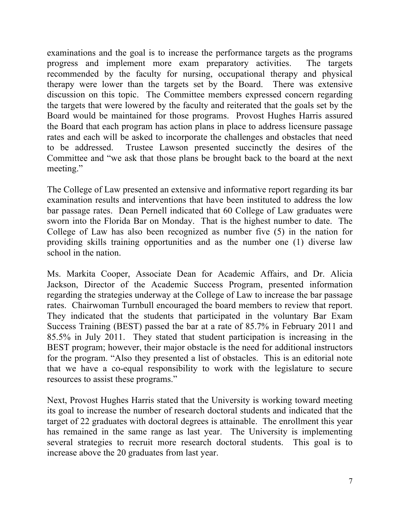examinations and the goal is to increase the performance targets as the programs progress and implement more exam preparatory activities. The targets recommended by the faculty for nursing, occupational therapy and physical therapy were lower than the targets set by the Board. There was extensive discussion on this topic. The Committee members expressed concern regarding the targets that were lowered by the faculty and reiterated that the goals set by the Board would be maintained for those programs. Provost Hughes Harris assured the Board that each program has action plans in place to address licensure passage rates and each will be asked to incorporate the challenges and obstacles that need to be addressed. Trustee Lawson presented succinctly the desires of the Committee and "we ask that those plans be brought back to the board at the next meeting."

The College of Law presented an extensive and informative report regarding its bar examination results and interventions that have been instituted to address the low bar passage rates. Dean Pernell indicated that 60 College of Law graduates were sworn into the Florida Bar on Monday. That is the highest number to date. The College of Law has also been recognized as number five (5) in the nation for providing skills training opportunities and as the number one (1) diverse law school in the nation.

Ms. Markita Cooper, Associate Dean for Academic Affairs, and Dr. Alicia Jackson, Director of the Academic Success Program, presented information regarding the strategies underway at the College of Law to increase the bar passage rates. Chairwoman Turnbull encouraged the board members to review that report. They indicated that the students that participated in the voluntary Bar Exam Success Training (BEST) passed the bar at a rate of 85.7% in February 2011 and 85.5% in July 2011. They stated that student participation is increasing in the BEST program; however, their major obstacle is the need for additional instructors for the program. "Also they presented a list of obstacles. This is an editorial note that we have a co-equal responsibility to work with the legislature to secure resources to assist these programs."

Next, Provost Hughes Harris stated that the University is working toward meeting its goal to increase the number of research doctoral students and indicated that the target of 22 graduates with doctoral degrees is attainable. The enrollment this year has remained in the same range as last year. The University is implementing several strategies to recruit more research doctoral students. This goal is to increase above the 20 graduates from last year.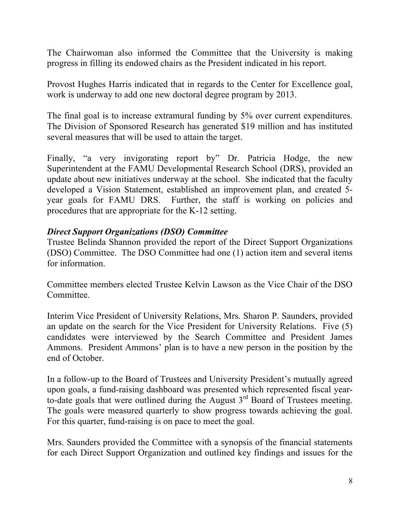The Chairwoman also informed the Committee that the University is making progress in filling its endowed chairs as the President indicated in his report.

Provost Hughes Harris indicated that in regards to the Center for Excellence goal, work is underway to add one new doctoral degree program by 2013.

The final goal is to increase extramural funding by 5% over current expenditures. The Division of Sponsored Research has generated \$19 million and has instituted several measures that will be used to attain the target.

Finally, "a very invigorating report by" Dr. Patricia Hodge, the new Superintendent at the FAMU Developmental Research School (DRS), provided an update about new initiatives underway at the school. She indicated that the faculty developed a Vision Statement, established an improvement plan, and created 5 year goals for FAMU DRS. Further, the staff is working on policies and procedures that are appropriate for the K-12 setting.

#### *Direct Support Organizations (DSO) Committee*

Trustee Belinda Shannon provided the report of the Direct Support Organizations (DSO) Committee. The DSO Committee had one (1) action item and several items for information.

Committee members elected Trustee Kelvin Lawson as the Vice Chair of the DSO Committee.

Interim Vice President of University Relations, Mrs. Sharon P. Saunders, provided an update on the search for the Vice President for University Relations. Five (5) candidates were interviewed by the Search Committee and President James Ammons. President Ammons' plan is to have a new person in the position by the end of October.

In a follow-up to the Board of Trustees and University President's mutually agreed upon goals, a fund-raising dashboard was presented which represented fiscal yearto-date goals that were outlined during the August  $3<sup>rd</sup>$  Board of Trustees meeting. The goals were measured quarterly to show progress towards achieving the goal. For this quarter, fund-raising is on pace to meet the goal.

Mrs. Saunders provided the Committee with a synopsis of the financial statements for each Direct Support Organization and outlined key findings and issues for the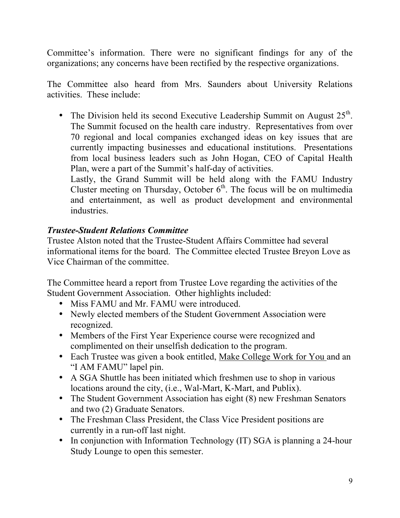Committee's information. There were no significant findings for any of the organizations; any concerns have been rectified by the respective organizations.

The Committee also heard from Mrs. Saunders about University Relations activities. These include:

• The Division held its second Executive Leadership Summit on August  $25<sup>th</sup>$ . The Summit focused on the health care industry. Representatives from over 70 regional and local companies exchanged ideas on key issues that are currently impacting businesses and educational institutions. Presentations from local business leaders such as John Hogan, CEO of Capital Health Plan, were a part of the Summit's half-day of activities.

Lastly, the Grand Summit will be held along with the FAMU Industry Cluster meeting on Thursday, October  $6<sup>th</sup>$ . The focus will be on multimedia and entertainment, as well as product development and environmental industries.

# *Trustee-Student Relations Committee*

Trustee Alston noted that the Trustee-Student Affairs Committee had several informational items for the board. The Committee elected Trustee Breyon Love as Vice Chairman of the committee.

The Committee heard a report from Trustee Love regarding the activities of the Student Government Association. Other highlights included:

- Miss FAMU and Mr. FAMU were introduced.
- Newly elected members of the Student Government Association were recognized.
- Members of the First Year Experience course were recognized and complimented on their unselfish dedication to the program.
- Each Trustee was given a book entitled, Make College Work for You and an "I AM FAMU" lapel pin.
- A SGA Shuttle has been initiated which freshmen use to shop in various locations around the city, (i.e., Wal-Mart, K-Mart, and Publix).
- The Student Government Association has eight (8) new Freshman Senators and two (2) Graduate Senators.
- The Freshman Class President, the Class Vice President positions are currently in a run-off last night.
- In conjunction with Information Technology (IT) SGA is planning a 24-hour Study Lounge to open this semester.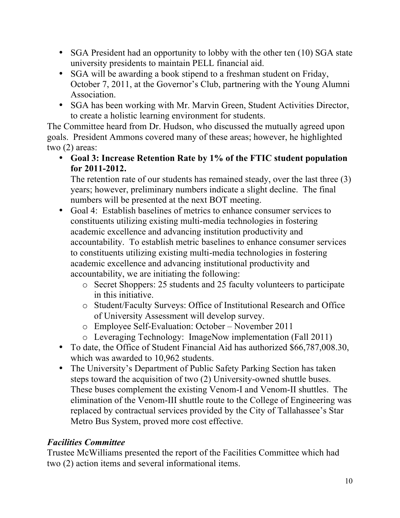- SGA President had an opportunity to lobby with the other ten (10) SGA state university presidents to maintain PELL financial aid.
- SGA will be awarding a book stipend to a freshman student on Friday, October 7, 2011, at the Governor's Club, partnering with the Young Alumni Association.
- SGA has been working with Mr. Marvin Green, Student Activities Director, to create a holistic learning environment for students.

The Committee heard from Dr. Hudson, who discussed the mutually agreed upon goals. President Ammons covered many of these areas; however, he highlighted two (2) areas:

• **Goal 3: Increase Retention Rate by 1% of the FTIC student population for 2011-2012.**

The retention rate of our students has remained steady, over the last three (3) years; however, preliminary numbers indicate a slight decline. The final numbers will be presented at the next BOT meeting.

- Goal 4: Establish baselines of metrics to enhance consumer services to constituents utilizing existing multi-media technologies in fostering academic excellence and advancing institution productivity and accountability. To establish metric baselines to enhance consumer services to constituents utilizing existing multi-media technologies in fostering academic excellence and advancing institutional productivity and accountability, we are initiating the following:
	- o Secret Shoppers: 25 students and 25 faculty volunteers to participate in this initiative.
	- o Student/Faculty Surveys: Office of Institutional Research and Office of University Assessment will develop survey.
	- o Employee Self-Evaluation: October November 2011
	- o Leveraging Technology: ImageNow implementation (Fall 2011)
- To date, the Office of Student Financial Aid has authorized \$66,787,008.30, which was awarded to 10,962 students.
- The University's Department of Public Safety Parking Section has taken steps toward the acquisition of two (2) University-owned shuttle buses. These buses complement the existing Venom-I and Venom-II shuttles. The elimination of the Venom-III shuttle route to the College of Engineering was replaced by contractual services provided by the City of Tallahassee's Star Metro Bus System, proved more cost effective.

# *Facilities Committee*

Trustee McWilliams presented the report of the Facilities Committee which had two (2) action items and several informational items.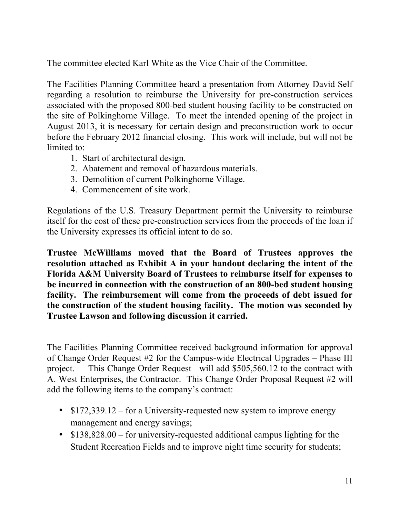The committee elected Karl White as the Vice Chair of the Committee.

The Facilities Planning Committee heard a presentation from Attorney David Self regarding a resolution to reimburse the University for pre-construction services associated with the proposed 800-bed student housing facility to be constructed on the site of Polkinghorne Village. To meet the intended opening of the project in August 2013, it is necessary for certain design and preconstruction work to occur before the February 2012 financial closing. This work will include, but will not be limited to:

- 1. Start of architectural design.
- 2. Abatement and removal of hazardous materials.
- 3. Demolition of current Polkinghorne Village.
- 4. Commencement of site work.

Regulations of the U.S. Treasury Department permit the University to reimburse itself for the cost of these pre-construction services from the proceeds of the loan if the University expresses its official intent to do so.

**Trustee McWilliams moved that the Board of Trustees approves the resolution attached as Exhibit A in your handout declaring the intent of the Florida A&M University Board of Trustees to reimburse itself for expenses to be incurred in connection with the construction of an 800-bed student housing facility. The reimbursement will come from the proceeds of debt issued for the construction of the student housing facility. The motion was seconded by Trustee Lawson and following discussion it carried.**

The Facilities Planning Committee received background information for approval of Change Order Request #2 for the Campus-wide Electrical Upgrades – Phase III project. This Change Order Request will add \$505,560.12 to the contract with A. West Enterprises, the Contractor. This Change Order Proposal Request #2 will add the following items to the company's contract:

- \$172,339.12 for a University-requested new system to improve energy management and energy savings;
- \$138,828.00 for university-requested additional campus lighting for the Student Recreation Fields and to improve night time security for students;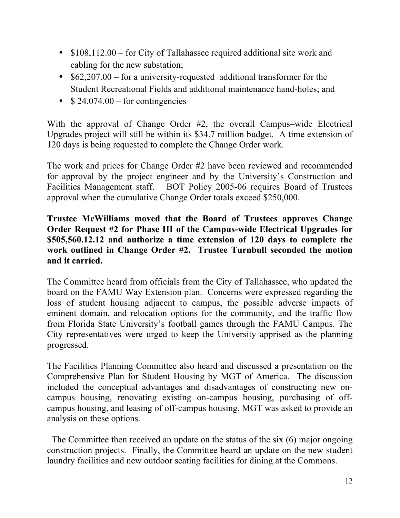- \$108,112.00 for City of Tallahassee required additional site work and cabling for the new substation;
- \$62,207.00 for a university-requested additional transformer for the Student Recreational Fields and additional maintenance hand-holes; and
- $$24,074.00 for continues$

With the approval of Change Order #2, the overall Campus–wide Electrical Upgrades project will still be within its \$34.7 million budget. A time extension of 120 days is being requested to complete the Change Order work.

The work and prices for Change Order #2 have been reviewed and recommended for approval by the project engineer and by the University's Construction and Facilities Management staff. BOT Policy 2005-06 requires Board of Trustees approval when the cumulative Change Order totals exceed \$250,000.

### **Trustee McWilliams moved that the Board of Trustees approves Change Order Request #2 for Phase III of the Campus-wide Electrical Upgrades for \$505,560.12.12 and authorize a time extension of 120 days to complete the work outlined in Change Order #2. Trustee Turnbull seconded the motion and it carried.**

The Committee heard from officials from the City of Tallahassee, who updated the board on the FAMU Way Extension plan. Concerns were expressed regarding the loss of student housing adjacent to campus, the possible adverse impacts of eminent domain, and relocation options for the community, and the traffic flow from Florida State University's football games through the FAMU Campus. The City representatives were urged to keep the University apprised as the planning progressed.

The Facilities Planning Committee also heard and discussed a presentation on the Comprehensive Plan for Student Housing by MGT of America. The discussion included the conceptual advantages and disadvantages of constructing new oncampus housing, renovating existing on-campus housing, purchasing of offcampus housing, and leasing of off-campus housing, MGT was asked to provide an analysis on these options.

 The Committee then received an update on the status of the six (6) major ongoing construction projects. Finally, the Committee heard an update on the new student laundry facilities and new outdoor seating facilities for dining at the Commons.